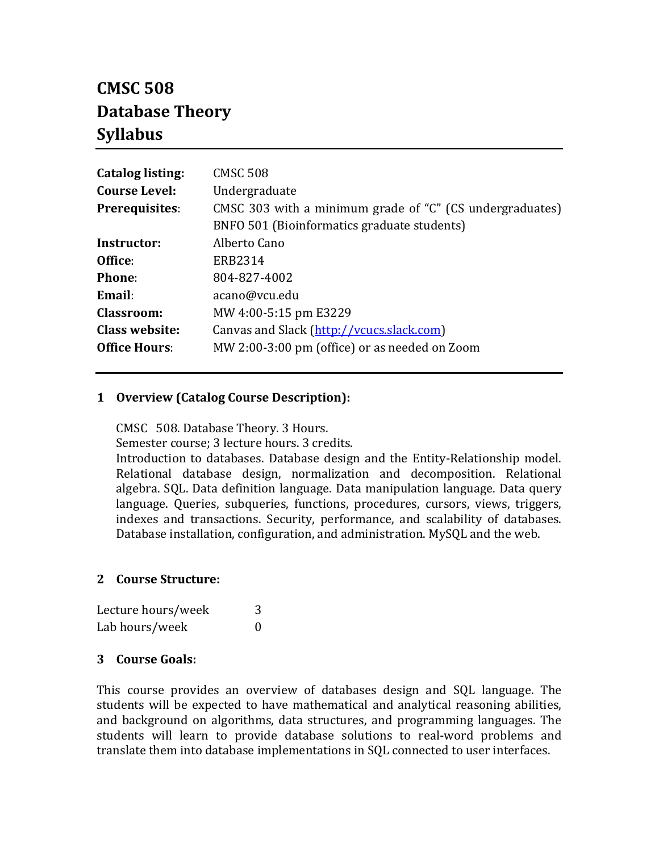# **CMSC 508 Database Theory Syllabus**

| <b>Catalog listing:</b> | <b>CMSC 508</b>                                          |
|-------------------------|----------------------------------------------------------|
| <b>Course Level:</b>    | Undergraduate                                            |
| Prerequisites:          | CMSC 303 with a minimum grade of "C" (CS undergraduates) |
|                         | BNFO 501 (Bioinformatics graduate students)              |
| Instructor:             | Alberto Cano                                             |
| Office:                 | ERB2314                                                  |
| <b>Phone:</b>           | 804-827-4002                                             |
| Email:                  | acano@vcu.edu                                            |
| Classroom:              | MW 4:00-5:15 pm E3229                                    |
| <b>Class website:</b>   | Canvas and Slack (http://vcucs.slack.com)                |
| <b>Office Hours:</b>    | MW 2:00-3:00 pm (office) or as needed on Zoom            |
|                         |                                                          |

### **1 Overview (Catalog Course Description):**

CMSC 508. Database Theory. 3 Hours.

Semester course; 3 lecture hours. 3 credits.

Introduction to databases. Database design and the Entity-Relationship model. Relational database design, normalization and decomposition. Relational algebra. SQL. Data definition language. Data manipulation language. Data query language. Queries, subqueries, functions, procedures, cursors, views, triggers, indexes and transactions. Security, performance, and scalability of databases. Database installation, configuration, and administration. MySQL and the web.

### **2 Course Structure:**

| Lecture hours/week | 3                |
|--------------------|------------------|
| Lab hours/week     | $\left( \right)$ |

### **3 Course Goals:**

This course provides an overview of databases design and SQL language. The students will be expected to have mathematical and analytical reasoning abilities, and background on algorithms, data structures, and programming languages. The students will learn to provide database solutions to real-word problems and translate them into database implementations in SQL connected to user interfaces.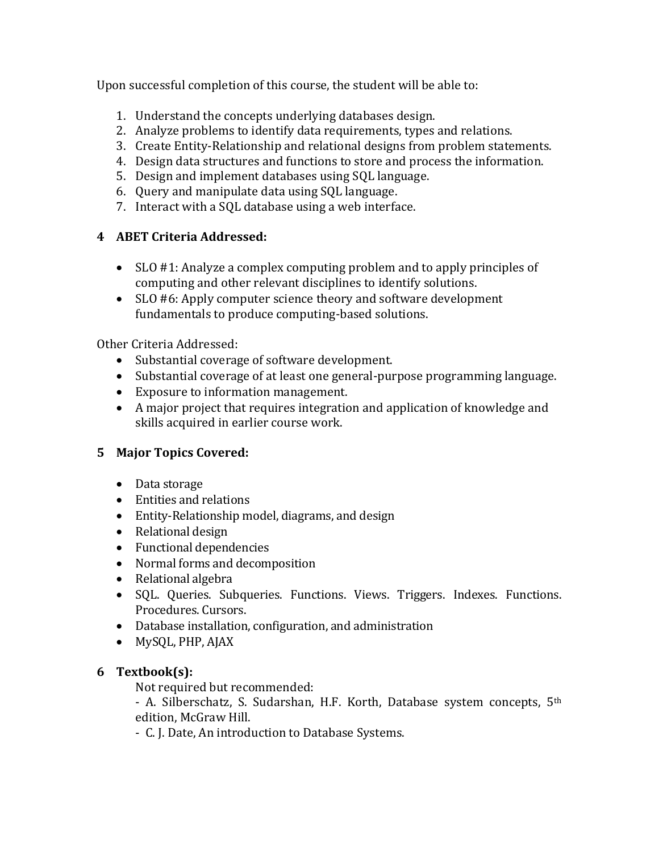Upon successful completion of this course, the student will be able to:

- 1. Understand the concepts underlying databases design.
- 2. Analyze problems to identify data requirements, types and relations.
- 3. Create Entity-Relationship and relational designs from problem statements.
- 4. Design data structures and functions to store and process the information.
- 5. Design and implement databases using SQL language.
- 6. Query and manipulate data using SQL language.
- 7. Interact with a SQL database using a web interface.

# **4 ABET Criteria Addressed:**

- SLO #1: Analyze a complex computing problem and to apply principles of computing and other relevant disciplines to identify solutions.
- SLO #6: Apply computer science theory and software development fundamentals to produce computing-based solutions.

### Other Criteria Addressed:

- Substantial coverage of software development.
- Substantial coverage of at least one general-purpose programming language.
- Exposure to information management.
- A major project that requires integration and application of knowledge and skills acquired in earlier course work.

# **5 Major Topics Covered:**

- Data storage
- Entities and relations
- Entity-Relationship model, diagrams, and design
- Relational design
- Functional dependencies
- Normal forms and decomposition
- Relational algebra
- SQL. Queries. Subqueries. Functions. Views. Triggers. Indexes. Functions. Procedures. Cursors.
- Database installation, configuration, and administration
- MySQL, PHP, AJAX

# **6 Textbook(s):**

Not required but recommended:

- A. Silberschatz, S. Sudarshan, H.F. Korth, Database system concepts, 5<sup>th</sup> edition, McGraw Hill.

- C. J. Date, An introduction to Database Systems.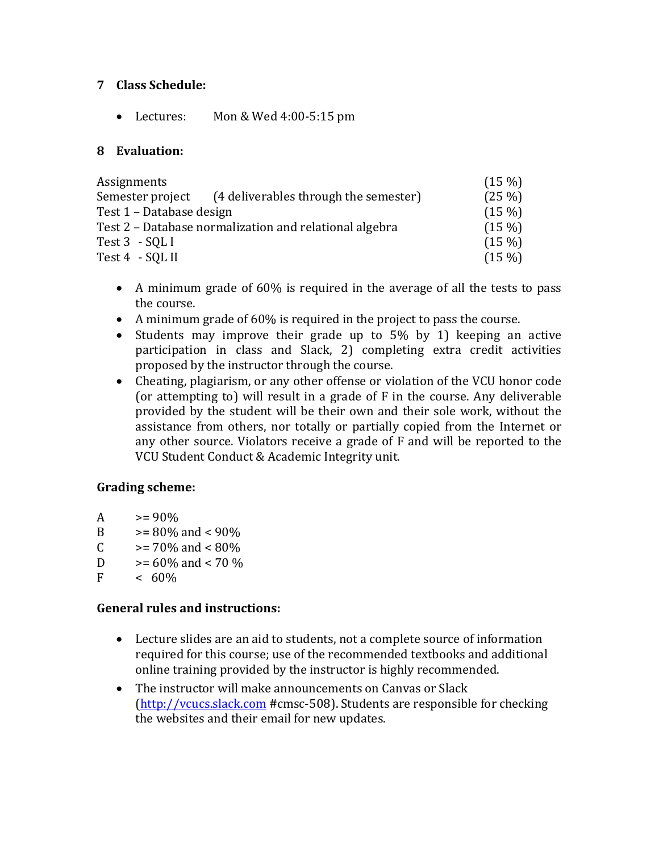### **7 Class Schedule:**

• Lectures: Mon & Wed 4:00-5:15 pm

### **8 Evaluation:**

| Assignments                                               | $(15\%)$ |
|-----------------------------------------------------------|----------|
| (4 deliverables through the semester)<br>Semester project | $(25\%)$ |
| Test 1 - Database design                                  | $(15\%)$ |
| Test 2 - Database normalization and relational algebra    | $(15\%)$ |
| Test 3 - SQL I                                            | $(15\%)$ |
| Test 4 - SQL II                                           | $(15\%)$ |

- A minimum grade of 60% is required in the average of all the tests to pass the course.
- A minimum grade of 60% is required in the project to pass the course.
- Students may improve their grade up to 5% by 1) keeping an active participation in class and Slack, 2) completing extra credit activities proposed by the instructor through the course.
- Cheating, plagiarism, or any other offense or violation of the VCU honor code (or attempting to) will result in a grade of F in the course. Any deliverable provided by the student will be their own and their sole work, without the assistance from others, nor totally or partially copied from the Internet or any other source. Violators receive a grade of F and will be reported to the VCU Student Conduct & Academic Integrity unit.

### **Grading scheme:**

- A  $> = 90\%$ <br>B  $> = 80\%$
- B  $>= 80\%$  and  $< 90\%$ <br>C  $>= 70\%$  and  $< 80\%$
- C  $>= 70\%$  and  $< 80\%$ <br>D  $>= 60\%$  and  $< 70\%$
- D  $>= 60\%$  and  $< 70\%$ <br>F  $< 60\%$
- $-60%$

# **General rules and instructions:**

- Lecture slides are an aid to students, not a complete source of information required for this course; use of the recommended textbooks and additional online training provided by the instructor is highly recommended.
- The instructor will make announcements on Canvas or Slack [\(http://vcucs.slack.com](http://vcucs.slack.com/) #cmsc-508). Students are responsible for checking the websites and their email for new updates.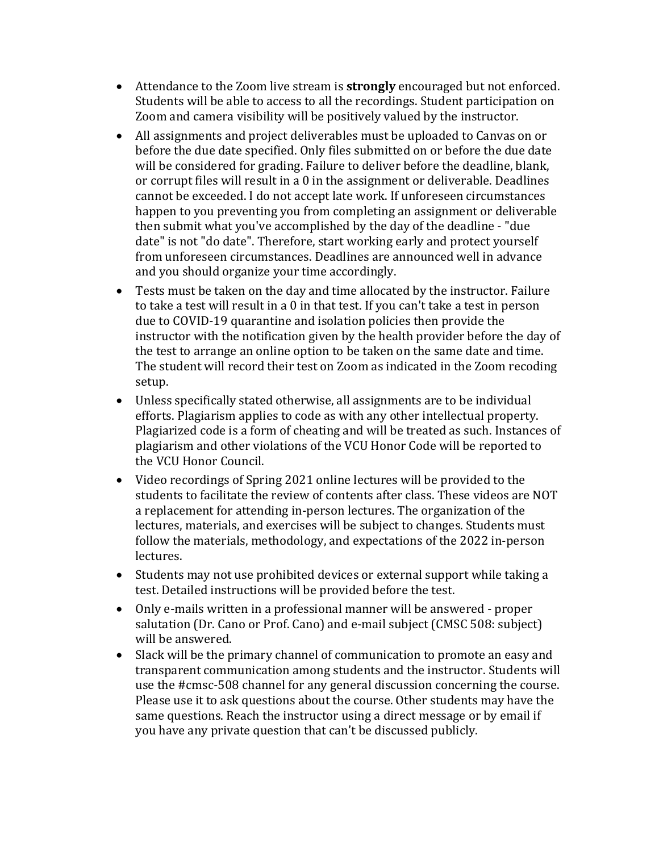- Attendance to the Zoom live stream is **strongly** encouraged but not enforced. Students will be able to access to all the recordings. Student participation on Zoom and camera visibility will be positively valued by the instructor.
- All assignments and project deliverables must be uploaded to Canvas on or before the due date specified. Only files submitted on or before the due date will be considered for grading. Failure to deliver before the deadline, blank, or corrupt files will result in a 0 in the assignment or deliverable. Deadlines cannot be exceeded. I do not accept late work. If unforeseen circumstances happen to you preventing you from completing an assignment or deliverable then submit what you've accomplished by the day of the deadline - "due date" is not "do date". Therefore, start working early and protect yourself from unforeseen circumstances. Deadlines are announced well in advance and you should organize your time accordingly.
- Tests must be taken on the day and time allocated by the instructor. Failure to take a test will result in a 0 in that test. If you can't take a test in person due to COVID-19 quarantine and isolation policies then provide the instructor with the notification given by the health provider before the day of the test to arrange an online option to be taken on the same date and time. The student will record their test on Zoom as indicated in the Zoom recoding setup.
- Unless specifically stated otherwise, all assignments are to be individual efforts. Plagiarism applies to code as with any other intellectual property. Plagiarized code is a form of cheating and will be treated as such. Instances of plagiarism and other violations of the VCU Honor Code will be reported to the VCU Honor Council.
- Video recordings of Spring 2021 online lectures will be provided to the students to facilitate the review of contents after class. These videos are NOT a replacement for attending in-person lectures. The organization of the lectures, materials, and exercises will be subject to changes. Students must follow the materials, methodology, and expectations of the 2022 in-person lectures.
- Students may not use prohibited devices or external support while taking a test. Detailed instructions will be provided before the test.
- Only e-mails written in a professional manner will be answered proper salutation (Dr. Cano or Prof. Cano) and e-mail subject (CMSC 508: subject) will be answered.
- Slack will be the primary channel of communication to promote an easy and transparent communication among students and the instructor. Students will use the #cmsc-508 channel for any general discussion concerning the course. Please use it to ask questions about the course. Other students may have the same questions. Reach the instructor using a direct message or by email if you have any private question that can't be discussed publicly.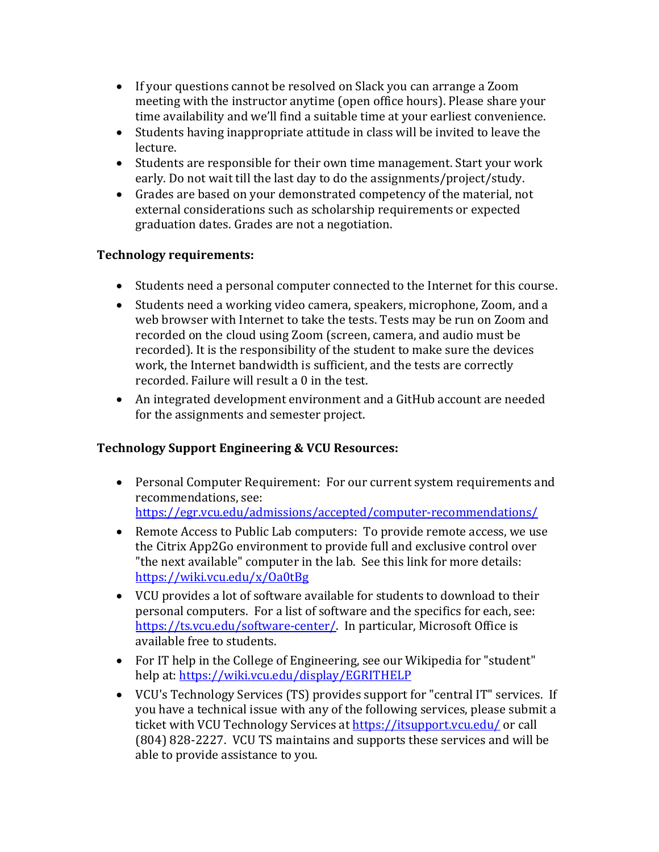- If your questions cannot be resolved on Slack you can arrange a Zoom meeting with the instructor anytime (open office hours). Please share your time availability and we'll find a suitable time at your earliest convenience.
- Students having inappropriate attitude in class will be invited to leave the lecture.
- Students are responsible for their own time management. Start your work early. Do not wait till the last day to do the assignments/project/study.
- Grades are based on your demonstrated competency of the material, not external considerations such as scholarship requirements or expected graduation dates. Grades are not a negotiation.

# **Technology requirements:**

- Students need a personal computer connected to the Internet for this course.
- Students need a working video camera, speakers, microphone, Zoom, and a web browser with Internet to take the tests. Tests may be run on Zoom and recorded on the cloud using Zoom (screen, camera, and audio must be recorded). It is the responsibility of the student to make sure the devices work, the Internet bandwidth is sufficient, and the tests are correctly recorded. Failure will result a 0 in the test.
- An integrated development environment and a GitHub account are needed for the assignments and semester project.

# **Technology Support Engineering & VCU Resources:**

- Personal Computer Requirement: For our current system requirements and recommendations, see: <https://egr.vcu.edu/admissions/accepted/computer-recommendations/>
- Remote Access to Public Lab computers: To provide remote access, we use the Citrix App2Go environment to provide full and exclusive control over "the next available" computer in the lab. See this link for more details: <https://wiki.vcu.edu/x/Oa0tBg>
- VCU provides a lot of software available for students to download to their personal computers. For a list of software and the specifics for each, see: [https://ts.vcu.edu/software-center/.](https://ts.vcu.edu/software-center/) In particular, Microsoft Office is available free to students.
- For IT help in the College of Engineering, see our Wikipedia for "student" help at:<https://wiki.vcu.edu/display/EGRITHELP>
- VCU's Technology Services (TS) provides support for "central IT" services. If you have a technical issue with any of the following services, please submit a ticket with VCU Technology Services a[t https://itsupport.vcu.edu/](https://itsupport.vcu.edu/) or call (804) 828-2227. VCU TS maintains and supports these services and will be able to provide assistance to you.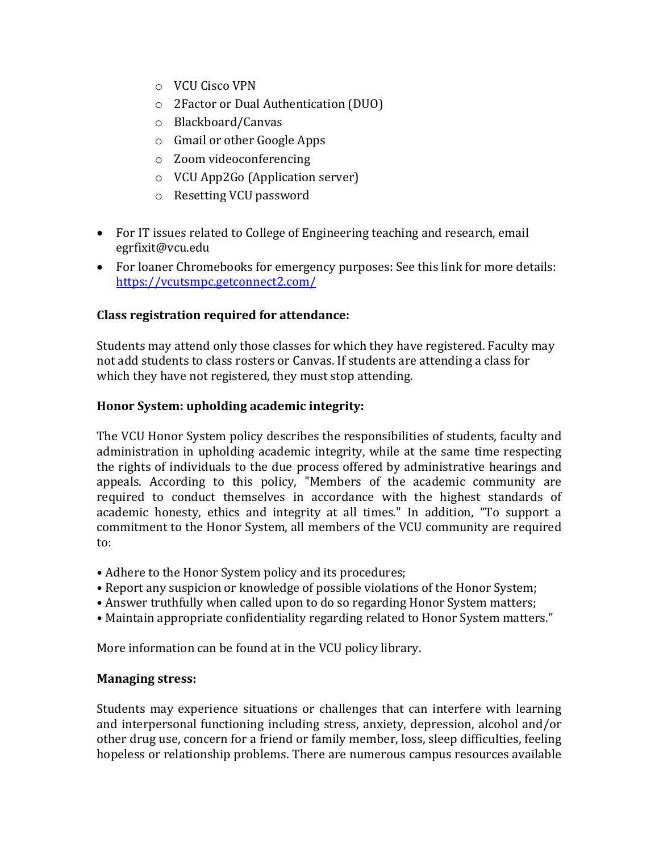- o VCU Cisco VPN
- o 2Factor or Dual Authentication (DUO)
- o Blackboard/Canvas
- o Gmail or other Google Apps
- o Zoom videoconferencing
- o VCU App2Go (Application server)
- o Resetting VCU password
- For IT issues related to College of Engineering teaching and research, email egrfixit@vcu.edu
- For loaner Chromebooks for emergency purposes: See this link for more details: <https://vcutsmpc.getconnect2.com/>

# **Class registration required for attendance:**

Students may attend only those classes for which they have registered. Faculty may not add students to class rosters or Canvas. If students are attending a class for which they have not registered, they must stop attending.

# **Honor System: upholding academic integrity:**

The VCU Honor System policy describes the responsibilities of students, faculty and administration in upholding academic integrity, while at the same time respecting the rights of individuals to the due process offered by administrative hearings and appeals. According to this policy, "Members of the academic community are required to conduct themselves in accordance with the highest standards of academic honesty, ethics and integrity at all times." In addition, "To support a commitment to the Honor System, all members of the VCU community are required to:

- Adhere to the Honor System policy and its procedures;
- Report any suspicion or knowledge of possible violations of the Honor System;
- Answer truthfully when called upon to do so regarding Honor System matters;
- Maintain appropriate confidentiality regarding related to Honor System matters."

More information can be found at in the VCU policy library.

# **Managing stress:**

Students may experience situations or challenges that can interfere with learning and interpersonal functioning including stress, anxiety, depression, alcohol and/or other drug use, concern for a friend or family member, loss, sleep difficulties, feeling hopeless or relationship problems. There are numerous campus resources available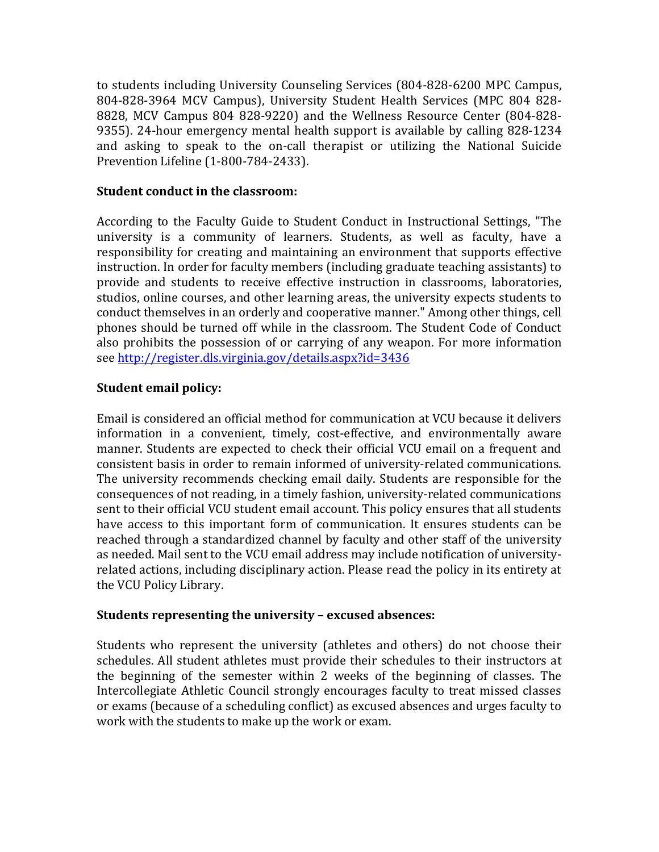to students including University Counseling Services (804-828-6200 MPC Campus, 804-828-3964 MCV Campus), University Student Health Services (MPC 804 828- 8828, MCV Campus 804 828-9220) and the Wellness Resource Center (804-828- 9355). 24-hour emergency mental health support is available by calling 828-1234 and asking to speak to the on-call therapist or utilizing the National Suicide Prevention Lifeline (1-800-784-2433).

### **Student conduct in the classroom:**

According to the Faculty Guide to Student Conduct in Instructional Settings, "The university is a community of learners. Students, as well as faculty, have a responsibility for creating and maintaining an environment that supports effective instruction. In order for faculty members (including graduate teaching assistants) to provide and students to receive effective instruction in classrooms, laboratories, studios, online courses, and other learning areas, the university expects students to conduct themselves in an orderly and cooperative manner." Among other things, cell phones should be turned off while in the classroom. The Student Code of Conduct also prohibits the possession of or carrying of any weapon. For more information see<http://register.dls.virginia.gov/details.aspx?id=3436>

### **Student email policy:**

Email is considered an official method for communication at VCU because it delivers information in a convenient, timely, cost-effective, and environmentally aware manner. Students are expected to check their official VCU email on a frequent and consistent basis in order to remain informed of university-related communications. The university recommends checking email daily. Students are responsible for the consequences of not reading, in a timely fashion, university-related communications sent to their official VCU student email account. This policy ensures that all students have access to this important form of communication. It ensures students can be reached through a standardized channel by faculty and other staff of the university as needed. Mail sent to the VCU email address may include notification of universityrelated actions, including disciplinary action. Please read the policy in its entirety at the VCU Policy Library.

#### **Students representing the university – excused absences:**

Students who represent the university (athletes and others) do not choose their schedules. All student athletes must provide their schedules to their instructors at the beginning of the semester within 2 weeks of the beginning of classes. The Intercollegiate Athletic Council strongly encourages faculty to treat missed classes or exams (because of a scheduling conflict) as excused absences and urges faculty to work with the students to make up the work or exam.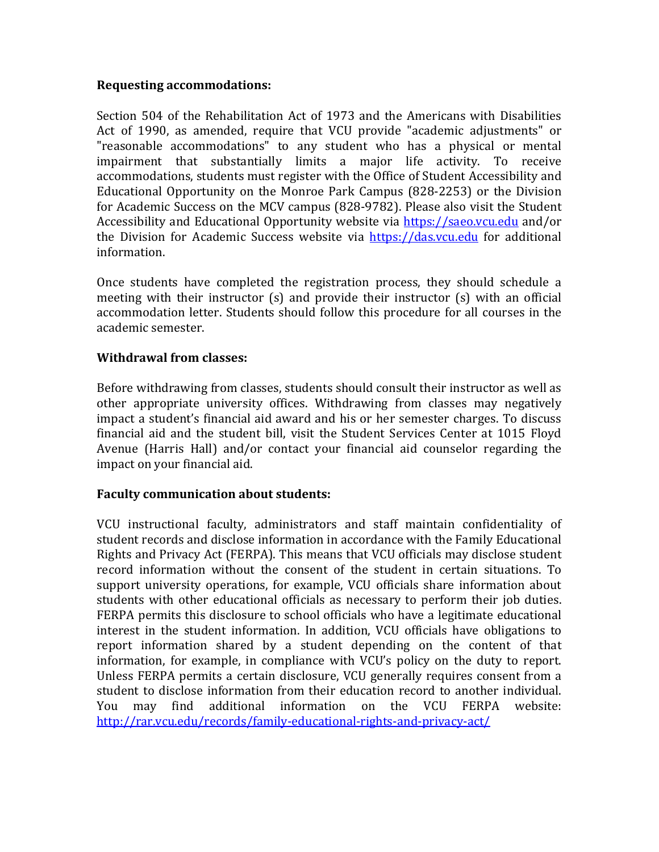### **Requesting accommodations:**

Section 504 of the Rehabilitation Act of 1973 and the Americans with Disabilities Act of 1990, as amended, require that VCU provide "academic adjustments" or "reasonable accommodations" to any student who has a physical or mental impairment that substantially limits a major life activity. To receive accommodations, students must register with the Office of Student Accessibility and Educational Opportunity on the Monroe Park Campus (828-2253) or the Division for Academic Success on the MCV campus (828-9782). Please also visit the Student Accessibility and Educational Opportunity website via [https://saeo.vcu.edu](https://saeo.vcu.edu/) and/or the Division for Academic Success website via [https://das.vcu.edu](https://das.vcu.edu/) for additional information.

Once students have completed the registration process, they should schedule a meeting with their instructor (s) and provide their instructor (s) with an official accommodation letter. Students should follow this procedure for all courses in the academic semester.

### **Withdrawal from classes:**

Before withdrawing from classes, students should consult their instructor as well as other appropriate university offices. Withdrawing from classes may negatively impact a student's financial aid award and his or her semester charges. To discuss financial aid and the student bill, visit the Student Services Center at 1015 Floyd Avenue (Harris Hall) and/or contact your financial aid counselor regarding the impact on your financial aid.

### **Faculty communication about students:**

VCU instructional faculty, administrators and staff maintain confidentiality of student records and disclose information in accordance with the Family Educational Rights and Privacy Act (FERPA). This means that VCU officials may disclose student record information without the consent of the student in certain situations. To support university operations, for example, VCU officials share information about students with other educational officials as necessary to perform their job duties. FERPA permits this disclosure to school officials who have a legitimate educational interest in the student information. In addition, VCU officials have obligations to report information shared by a student depending on the content of that information, for example, in compliance with VCU's policy on the duty to report. Unless FERPA permits a certain disclosure, VCU generally requires consent from a student to disclose information from their education record to another individual.<br>You may find additional information on the VCU FERPA website: You may find additional information on <http://rar.vcu.edu/records/family-educational-rights-and-privacy-act/>